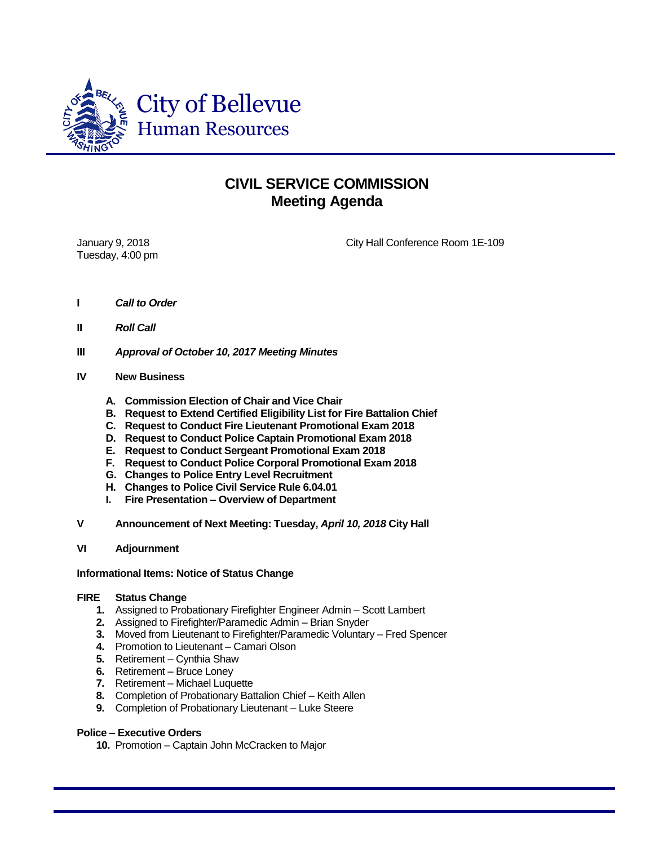

## **CIVIL SERVICE COMMISSION Meeting Agenda**

Tuesday, 4:00 pm

January 9, 2018 City Hall Conference Room 1E-109

- **I** *Call to Order*
- **II** *Roll Call*
- **III** *Approval of October 10, 2017 Meeting Minutes*
- **IV New Business**
	- **A. Commission Election of Chair and Vice Chair**
	- **B. Request to Extend Certified Eligibility List for Fire Battalion Chief**
	- **C. Request to Conduct Fire Lieutenant Promotional Exam 2018**
	- **D. Request to Conduct Police Captain Promotional Exam 2018**
	- **E. Request to Conduct Sergeant Promotional Exam 2018**
	- **F. Request to Conduct Police Corporal Promotional Exam 2018**
	- **G. Changes to Police Entry Level Recruitment**
	- **H. Changes to Police Civil Service Rule 6.04.01**
	- **I. Fire Presentation – Overview of Department**
- **V Announcement of Next Meeting: Tuesday,** *April 10, 2018* **City Hall**
- **VI Adjournment**

## **Informational Items: Notice of Status Change**

## **FIRE Status Change**

- **1.** Assigned to Probationary Firefighter Engineer Admin Scott Lambert
- **2.** Assigned to Firefighter/Paramedic Admin Brian Snyder
- **3.** Moved from Lieutenant to Firefighter/Paramedic Voluntary Fred Spencer
- **4.** Promotion to Lieutenant Camari Olson
- **5.** Retirement Cynthia Shaw
- **6.** Retirement Bruce Loney
- **7.** Retirement Michael Luquette
- **8.** Completion of Probationary Battalion Chief Keith Allen
- **9.** Completion of Probationary Lieutenant Luke Steere

## **Police – Executive Orders**

**10.** Promotion – Captain John McCracken to Major